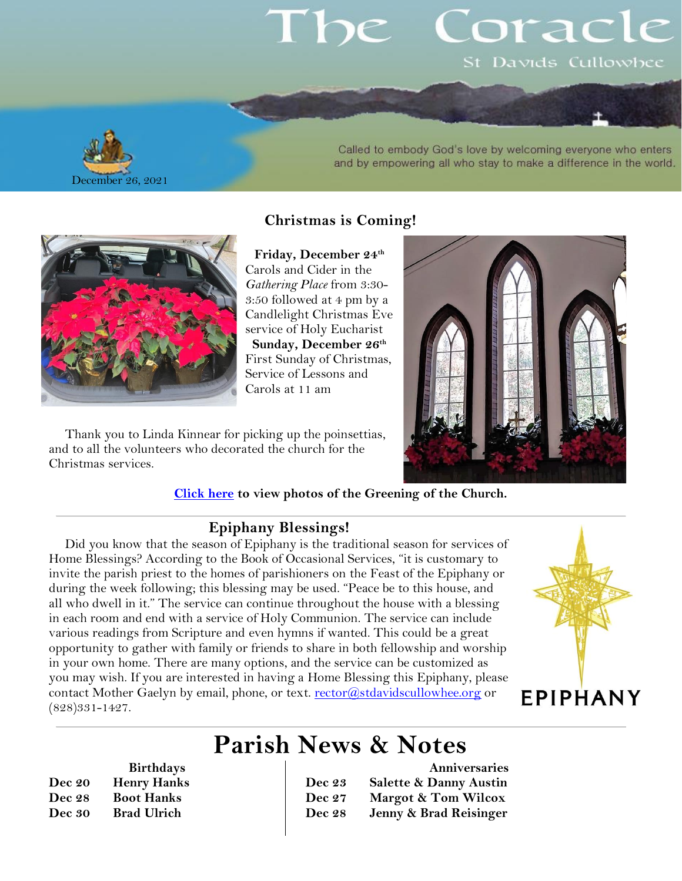# pe Coracl St Davids Cullowhee



#### Called to embody God's love by welcoming everyone who enters and by empowering all who stay to make a difference in the world.



**Birthdays**

**Dec 20 Henry Hanks Dec 28 Boot Hanks Dec 30 Brad Ulrich**

**Christmas is Coming!**

**Friday, December 24th** Carols and Cider in the *Gathering Place* from 3:30- 3:50 followed at 4 pm by a Candlelight Christmas Eve service of Holy Eucharist **Sunday, December 26th** First Sunday of Christmas, Service of Lessons and Carols at 11 am

Thank you to Linda Kinnear for picking up the poinsettias, and to all the volunteers who decorated the church for the Christmas services.

#### **[Click here](https://photos.app.goo.gl/Quf3B13DCXdT6ZKt7) to view photos of the Greening of the Church.**

#### **Epiphany Blessings!**

Did you know that the season of Epiphany is the traditional season for services of Home Blessings? According to the Book of Occasional Services, "it is customary to invite the parish priest to the homes of parishioners on the Feast of the Epiphany or during the week following; this blessing may be used. "Peace be to this house, and all who dwell in it." The service can continue throughout the house with a blessing in each room and end with a service of Holy Communion. The service can include various readings from Scripture and even hymns if wanted. This could be a great opportunity to gather with family or friends to share in both fellowship and worship in your own home. There are many options, and the service can be customized as you may wish. If you are interested in having a Home Blessing this Epiphany, please contact Mother Gaelyn by email, phone, or text. [rector@stdavidscullowhee.org](mailto:rector@stdavidscullowhee.org) or (828)331-1427.



## **Parish News & Notes**

|               | Anniversaries                     |
|---------------|-----------------------------------|
| Dec 23        | <b>Salette &amp; Danny Austin</b> |
| <b>Dec</b> 27 | Margot & Tom Wilcox               |
| <b>Dec 28</b> | Jenny & Brad Reisinger            |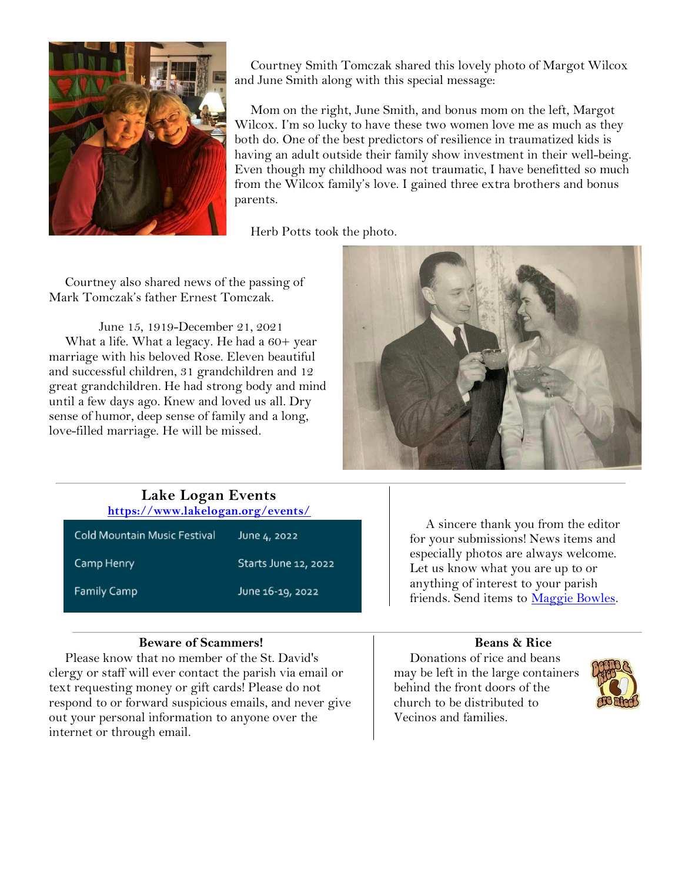

Courtney Smith Tomczak shared this lovely photo of Margot Wilcox and June Smith along with this special message:

Mom on the right, June Smith, and bonus mom on the left, Margot Wilcox. I'm so lucky to have these two women love me as much as they both do. One of the best predictors of resilience in traumatized kids is having an adult outside their family show investment in their well-being. Even though my childhood was not traumatic, I have benefitted so much from the Wilcox family's love. I gained three extra brothers and bonus parents.

Herb Potts took the photo.

Courtney also shared news of the passing of Mark Tomczak's father Ernest Tomczak.

June 15, 1919-December 21, 2021 What a life. What a legacy. He had a 60+ year marriage with his beloved Rose. Eleven beautiful and successful children, 31 grandchildren and 12 great grandchildren. He had strong body and mind until a few days ago. Knew and loved us all. Dry sense of humor, deep sense of family and a long, love-filled marriage. He will be missed.



| Lake Logan Events<br>https://www.lakelogan.org/events/ |                      |                                                                              |
|--------------------------------------------------------|----------------------|------------------------------------------------------------------------------|
| Cold Mountain Music Festival                           | June 4, 2022         | A sincere thank you from the editor<br>for your submissions! News items and  |
| Camp Henry                                             | Starts June 12, 2022 | especially photos are always welcome.<br>Let us know what you are up to or   |
| <b>Family Camp</b>                                     | June 16-19, 2022     | anything of interest to your parish<br>friends. Send items to Maggie Bowles. |

#### **Beware of Scammers!**

Please know that no member of the St. David's clergy or staff will ever contact the parish via email or text requesting money or gift cards! Please do not respond to or forward suspicious emails, and never give out your personal information to anyone over the internet or through email.

#### **Beans & Rice**

Donations of rice and beans may be left in the large containers behind the front doors of the church to be distributed to Vecinos and families.